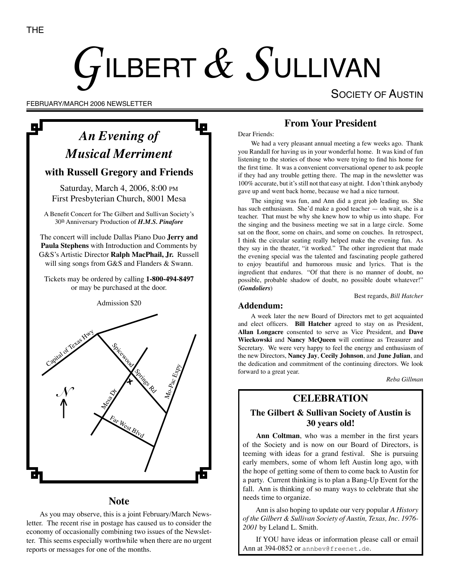# $G$ ILBERT $\,\&\, S$ ULLIVAN

SOCIETY OF AUSTIN

FEBRUARY/MARCH 2006 NEWSLETTER

## *An Evening of Musical Merriment*

#### **with Russell Gregory and Friends**

Saturday, March 4, 2006, 8:00 PM First Presbyterian Church, 8001 Mesa

A Benefit Concert for The Gilbert and Sullivan Society's 30th Anniversary Production of *H.M.S. Pinafore*

The concert will include Dallas Piano Duo **Jerry and Paula Stephens** with Introduction and Comments by G&S's Artistic Director **Ralph MacPhail, Jr.** Russell will sing songs from G&S and Flanders & Swann.

Tickets may be ordered by calling **1-800-494-8497** or may be purchased at the door.

Admission \$20



#### **Note**

As you may observe, this is a joint February/March Newsletter. The recent rise in postage has caused us to consider the economy of occasionally combining two issues of the Newsletter. This seems especially worthwhile when there are no urgent reports or messages for one of the months.

#### **From Your President**

Dear Friends:

We had a very pleasant annual meeting a few weeks ago. Thank you Randall for having us in your wonderful home. It was kind of fun listening to the stories of those who were trying to find his home for the first time. It was a convenient conversational opener to ask people if they had any trouble getting there. The map in the newsletter was 100% accurate, but it's still not that easy at night. I don't think anybody gave up and went back home, because we had a nice turnout.

The singing was fun, and Ann did a great job leading us. She has such enthusiasm. She'd make a good teacher — oh wait, she is a teacher. That must be why she knew how to whip us into shape. For the singing and the business meeting we sat in a large circle. Some sat on the floor, some on chairs, and some on couches. In retrospect, I think the circular seating really helped make the evening fun. As they say in the theater, "it worked." The other ingredient that made the evening special was the talented and fascinating people gathered to enjoy beautiful and humorous music and lyrics. That is the ingredient that endures. "Of that there is no manner of doubt, no possible, probable shadow of doubt, no possible doubt whatever!" (*Gondoliers*)

Best regards, *Bill Hatcher*

#### **Addendum:**

A week later the new Board of Directors met to get acquainted and elect officers. **Bill Hatcher** agreed to stay on as President, **Allan Longacre** consented to serve as Vice President, and **Dave Wieckowski** and **Nancy McQueen** will continue as Treasurer and Secretary. We were very happy to feel the energy and enthusiasm of the new Directors, **Nancy Jay**, **Cecily Johnson**, and **June Julian**, and the dedication and commitment of the continuing directors. We look forward to a great year.

*Reba Gillman*

## **30 years old!**

**Ann Coltman**, who was a member in the first years of the Society and is now on our Board of Directors, is teeming with ideas for a grand festival. She is pursuing early members, some of whom left Austin long ago, with the hope of getting some of them to come back to Austin for a party. Current thinking is to plan a Bang-Up Event for the fall. Ann is thinking of so many ways to celebrate that she needs time to organize.

Ann is also hoping to update our very popular *A History of the Gilbert & Sullivan Society of Austin, Texas, Inc. 1976- 2001* by Leland L. Smith.

If YOU have ideas or information please call or email Ann at 394-0852 or annbev@freenet.de.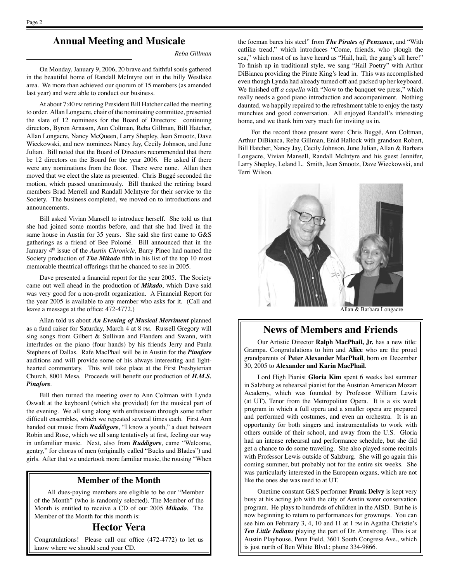#### **Annual Meeting and Musicale**

*Reba Gillman*

On Monday, January 9, 2006, 20 brave and faithful souls gathered in the beautiful home of Randall McIntyre out in the hilly Westlake area. We more than achieved our quorum of 15 members (as amended last year) and were able to conduct our business.

At about 7:40 PM retiring President Bill Hatcher called the meeting to order. Allan Longacre, chair of the nominating committee, presented the slate of 12 nominees for the Board of Directors: continuing directors, Byron Arnason, Ann Coltman, Reba Gillman, Bill Hatcher, Allan Longacre, Nancy McQueen, Larry Shepley, Jean Smootz, Dave Wieckowski, and new nominees Nancy Jay, Cecily Johnson, and June Julian. Bill noted that the Board of Directors recommended that there be 12 directors on the Board for the year 2006. He asked if there were any nominations from the floor. There were none. Allan then moved that we elect the slate as presented. Chris Buggé seconded the motion, which passed unanimously. Bill thanked the retiring board members Brad Merrell and Randall McIntyre for their service to the Society. The business completed, we moved on to introductions and announcements.

Bill asked Vivian Mansell to introduce herself. She told us that she had joined some months before, and that she had lived in the same house in Austin for 35 years. She said she first came to G&S gatherings as a friend of Bee Polomé. Bill announced that in the January  $4<sup>th</sup>$  issue of the *Austin Chronicle*, Barry Pineo had named the Society production of *The Mikado* fifth in his list of the top 10 most memorable theatrical offerings that he chanced to see in 2005.

Dave presented a financial report for the year 2005. The Society came out well ahead in the production of *Mikado*, which Dave said was very good for a non-profit organization. A Financial Report for the year 2005 is available to any member who asks for it. (Call and leave a message at the office: 472-4772.)

Allan told us about *An Evening of Musical Merriment* planned as a fund raiser for Saturday, March 4 at 8 PM. Russell Gregory will sing songs from Gilbert & Sullivan and Flanders and Swann, with interludes on the piano (four hands) by his friends Jerry and Paula Stephens of Dallas. Rafe MacPhail will be in Austin for the *Pinafore*  auditions and will provide some of his always interesting and lighthearted commentary. This will take place at the First Presbyterian Church, 8001 Mesa. Proceeds will benefit our production of *H.M.S. Pinafore*.

Bill then turned the meeting over to Ann Coltman with Lynda Oswalt at the keyboard (which she provided) for the musical part of the evening. We all sang along with enthusiasm through some rather difficult ensembles, which we repeated several times each. First Ann handed out music from *Ruddigore*, "I know a youth," a duet between Robin and Rose, which we all sang tentatively at first, feeling our way in unfamiliar music. Next, also from *Ruddigore*, came "Welcome, gentry," for chorus of men (originally called "Bucks and Blades") and girls. After that we undertook more familiar music, the rousing "When

#### **Member of the Month**

All dues-paying members are eligible to be our "Member of the Month" (who is randomly selected). The Member of the Month is entitled to receive a CD of our 2005 *Mikado*. The Member of the Month for this month is:

#### **Hector Vera**

Congratulations! Please call our office (472-4772) to let us know where we should send your CD.

the foeman bares his steel" from *The Pirates of Penzance*, and "With catlike tread," which introduces "Come, friends, who plough the sea," which most of us have heard as "Hail, hail, the gang's all here!" To finish up in traditional style, we sang "Hail Poetry" with Arthur DiBianca providing the Pirate King's lead in. This was accomplished even though Lynda had already turned off and packed up her keyboard. We finished off *a capella* with "Now to the banquet we press," which really needs a good piano introduction and accompaniment. Nothing daunted, we happily repaired to the refreshment table to enjoy the tasty munchies and good conversation. All enjoyed Randall's interesting home, and we thank him very much for inviting us in.

For the record those present were: Chris Buggé, Ann Coltman, Arthur DiBianca, Reba Gillman, Enid Hallock with grandson Robert, Bill Hatcher, Nancy Jay, Cecily Johnson, June Julian, Allan & Barbara Longacre, Vivian Mansell, Randall McIntyre and his guest Jennifer, Larry Shepley, Leland L. Smith, Jean Smootz, Dave Wieckowski, and Terri Wilson.



Allan & Barbara Longacre

#### **News of Members and Friends**

Our Artistic Director **Ralph MacPhail, Jr.** has a new title: Grampa. Congratulations to him and **Alice** who are the proud grandparents of **Peter Alexander MacPhail**, born on December 30, 2005 to **Alexander and Karin MacPhail**.

Lord High Pianist **Gloria Kim** spent 6 weeks last summer in Salzburg as rehearsal pianist for the Austrian American Mozart Academy, which was founded by Professor William Lewis (at UT), Tenor from the Metropolitan Opera. It is a six week program in which a full opera and a smaller opera are prepared and performed with costumes, and even an orchestra. It is an opportunity for both singers and instrumentalists to work with others outside of their school, and away from the U.S. Gloria had an intense rehearsal and performance schedule, but she did get a chance to do some traveling. She also played some recitals with Professor Lewis outside of Salzburg. She will go again this coming summer, but probably not for the entire six weeks. She was particularly interested in the European organs, which are not like the ones she was used to at UT.

Onetime constant G&S performer **Frank Delvy** is kept very busy at his acting job with the city of Austin water conservation program. He plays to hundreds of children in the AISD. But he is now beginning to return to performances for grownups. You can see him on February 3, 4, 10 and 11 at 1 PM in Agatha Christie's *Ten Little Indians* playing the part of Dr. Armstrong. This is at Austin Playhouse, Penn Field, 3601 South Congress Ave., which is just north of Ben White Blvd.; phone 334-9866.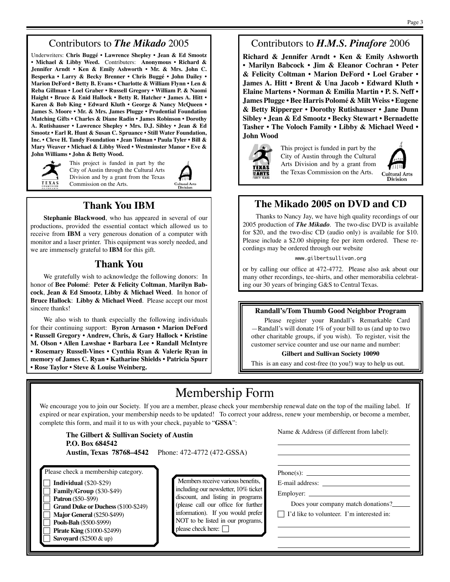#### Contributors to *The Mikado* 2005

Underwriters: **Chris Buggé • Lawrence Shepley • Jean & Ed Smootz • Michael & Libby Weed.** Contributers: **Anonymous • Richard & Jennifer Arndt • Ken & Emily Ashworth • Mr. & Mrs. John C. Besperka • Larry & Becky Brenner • Chris Buggé • John Dailey • Marion DeFord • Betty B. Evans • Charlotte & William Flynn • Len & Reba Gillman • Loel Graber • Russell Gregory • William P. & Naomi Haight • Bruce & Enid Hallock • Betty R. Hatcher • James A. Hitt • Karen & Bob King • Edward Kluth • George & Nancy McQueen • James S. Moore • Mr. & Mrs. James Plugge • Prudential Foundation Matching Gifts • Charles & Diane Radin • James Robinson • Dorothy A. Rutishauser • Lawrence Shepley • Mrs. D.J. Sibley • Jean & Ed Smootz • Earl R. Hunt & Susan C. Spruance • Still Water Foundation, Inc. • Cleve H. Tandy Foundation • Jean Tolman • Paula Tyler • Bill & Mary Weaver • Michael & Libby Weed • Westminster Manor • Eve & John Williams • John & Betty Wood.**



This project is funded in part by the City of Austin through the Cultural Arts Division and by a grant from the Texas Commission on the Arts.

### **Thank You IBM**

**Stephanie Blackwood**, who has appeared in several of our productions, provided the essential contact which allowed us to receive from **IBM** a very generous donation of a computer with monitor and a laser printer. This equipment was sorely needed, and we are immensely grateful to **IBM** for this gift.

#### **Thank You**

We gratefully wish to acknowledge the following donors: In honor of **Bee Polomé**: **Peter & Felicity Coltman**, **Marilyn Babcock**, **Jean & Ed Smootz**, **Libby & Michael Weed**. In honor of **Bruce Hallock**: **Libby & Michael Weed**. Please accept our most sincere thanks!

We also wish to thank especially the following individuals for their continuing support: **Byron Arnason • Marion DeFord • Russell Gregory • Andrew, Chris, & Gary Hallock • Kristine M. Olson • Allen Lawshae • Barbara Lee • Randall McIntyre • Rosemary Russell-Vines • Cynthia Ryan & Valerie Ryan in memory of James C. Ryan • Katharine Shields • Patricia Spurr • Rose Taylor • Steve & Louise Weinberg.**

#### Contributors to *H.M.S. Pinafore* 2006

**Richard & Jennifer Arndt • Ken & Emily Ashworth • Marilyn Babcock • Jim & Eleanor Cochran • Peter & Felicity Coltman • Marion DeFord • Loel Graber • James A. Hitt • Brent & Una Jacob • Edward Kluth • Elaine Martens • Norman & Emilia Martin • P. S. Neff • James Plugge • Bee Harris Polomé & Milt Weiss • Eugene & Betty Ripperger • Dorothy Rutishauser • Jane Dunn Sibley • Jean & Ed Smootz • Becky Stewart • Bernadette Tasher • The Voloch Family • Libby & Michael Weed • John Wood**



This project is funded in part by the City of Austin through the Cultural Arts Division and by a grant from the Texas Commission on the Arts.



#### **The Mikado 2005 on DVD and CD**

Thanks to Nancy Jay, we have high quality recordings of our 2005 production of *The Mikado*. The two-disc DVD is available for \$20, and the two-disc CD (audio only) is available for \$10. Please include a \$2.00 shipping fee per item ordered. These recordings may be ordered through our website

www.gilbertsullivan.org

or by calling our office at 472-4772. Please also ask about our many other recordings, tee-shirts, and other memorabilia celebrating our 30 years of bringing G&S to Central Texas.

#### **Randall's/Tom Thumb Good Neighbor Program**

Please register your Randall's Remarkable Card —Randall's will donate 1% of your bill to us (and up to two other charitable groups, if you wish). To register, visit the customer service counter and use our name and number:

#### **Gilbert and Sullivan Society 10090**

This is an easy and cost-free (to you!) way to help us out.

## Membership Form

We encourage you to join our Society. If you are a member, please check your membership renewal date on the top of the mailing label. If expired or near expiration, your membership needs to be updated! To correct your address, renew your membership, or become a member, complete this form, and mail it to us with your check, payable to "**GSSA**":

| The Gilbert & Sullivan Society of Austin |  |
|------------------------------------------|--|
| P.O. Box 684542                          |  |

**Austin, Texas 78768–4542** Phone: 472-4772 (472-GSSA)

c **Individual** (\$20-\$29) c **Family/Group** (\$30-\$49) **Patron** (\$50–\$99) c **Grand Duke or Duchess** (\$100-\$249) **Major General** (\$250-\$499) c **Pooh-Bah** (\$500-\$999) **Pirate King** (\$1000-\$2499)

Savoyard (\$2500 & up)

Members receive various benefits, including our newsletter, 10% ticket discount, and listing in programs (please call our office for further information). If you would prefer NOT to be listed in our programs, please check here:  $\Box$ 

Name & Address (if different from label):

Phone(s):  $\_\_$ E-mail address:

 $\overline{a}$  $\overline{a}$  $\overline{a}$ 

 $\overline{a}$  $\overline{a}$  $\overline{a}$ 

Employer: \_\_\_\_\_\_

Does your company match donations?

 $\Box$  I'd like to volunteer. I'm interested in: